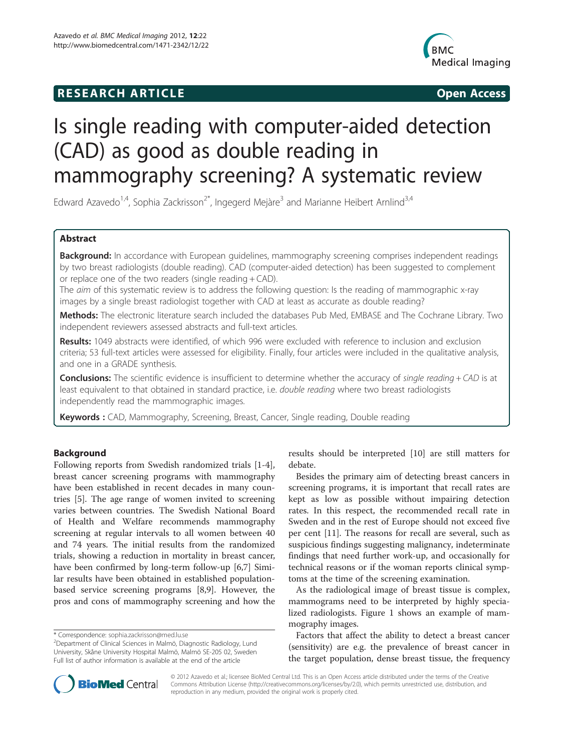## **RESEARCH ARTICLE Example 2014 CONSIDERING CONSIDERING CONSIDERING CONSIDERING CONSIDERING CONSIDERING CONSIDERING CONSIDERING CONSIDERING CONSIDERING CONSIDERING CONSIDERING CONSIDERING CONSIDERING CONSIDERING CONSIDE**



# Is single reading with computer-aided detection (CAD) as good as double reading in mammography screening? A systematic review

Edward Azavedo<sup>1,4</sup>, Sophia Zackrisson<sup>2\*</sup>, Ingegerd Mejàre<sup>3</sup> and Marianne Heibert Arnlind<sup>3,4</sup>

## Abstract

Background: In accordance with European guidelines, mammography screening comprises independent readings by two breast radiologists (double reading). CAD (computer-aided detection) has been suggested to complement or replace one of the two readers (single reading + CAD).

The aim of this systematic review is to address the following question: Is the reading of mammographic x-ray images by a single breast radiologist together with CAD at least as accurate as double reading?

Methods: The electronic literature search included the databases Pub Med, EMBASE and The Cochrane Library. Two independent reviewers assessed abstracts and full-text articles.

Results: 1049 abstracts were identified, of which 996 were excluded with reference to inclusion and exclusion criteria; 53 full-text articles were assessed for eligibility. Finally, four articles were included in the qualitative analysis, and one in a GRADE synthesis.

Conclusions: The scientific evidence is insufficient to determine whether the accuracy of single reading + CAD is at least equivalent to that obtained in standard practice, i.e. double reading where two breast radiologists independently read the mammographic images.

Keywords : CAD, Mammography, Screening, Breast, Cancer, Single reading, Double reading

## Background

Following reports from Swedish randomized trials [[1-4](#page-9-0)], breast cancer screening programs with mammography have been established in recent decades in many countries [[5\]](#page-9-0). The age range of women invited to screening varies between countries. The Swedish National Board of Health and Welfare recommends mammography screening at regular intervals to all women between 40 and 74 years. The initial results from the randomized trials, showing a reduction in mortality in breast cancer, have been confirmed by long-term follow-up [\[6,7](#page-9-0)] Similar results have been obtained in established populationbased service screening programs [[8,9\]](#page-9-0). However, the pros and cons of mammography screening and how the

results should be interpreted [\[10](#page-9-0)] are still matters for debate.

Besides the primary aim of detecting breast cancers in screening programs, it is important that recall rates are kept as low as possible without impairing detection rates. In this respect, the recommended recall rate in Sweden and in the rest of Europe should not exceed five per cent [[11](#page-9-0)]. The reasons for recall are several, such as suspicious findings suggesting malignancy, indeterminate findings that need further work-up, and occasionally for technical reasons or if the woman reports clinical symptoms at the time of the screening examination.

As the radiological image of breast tissue is complex, mammograms need to be interpreted by highly specialized radiologists. Figure [1](#page-1-0) shows an example of mammography images.

Factors that affect the ability to detect a breast cancer (sensitivity) are e.g. the prevalence of breast cancer in the target population, dense breast tissue, the frequency



© 2012 Azavedo et al.; licensee BioMed Central Ltd. This is an Open Access article distributed under the terms of the Creative Commons Attribution License [\(http://creativecommons.org/licenses/by/2.0\)](http://creativecommons.org/licenses/by/2.0), which permits unrestricted use, distribution, and reproduction in any medium, provided the original work is properly cited.

<sup>\*</sup> Correspondence: [sophia.zackrisson@med.lu.se](mailto:sophia.zackrisson@med.lu.se) <sup>2</sup>

<sup>&</sup>lt;sup>2</sup>Department of Clinical Sciences in Malmö, Diagnostic Radiology, Lund University, Skåne University Hospital Malmö, Malmö SE-205 02, Sweden Full list of author information is available at the end of the article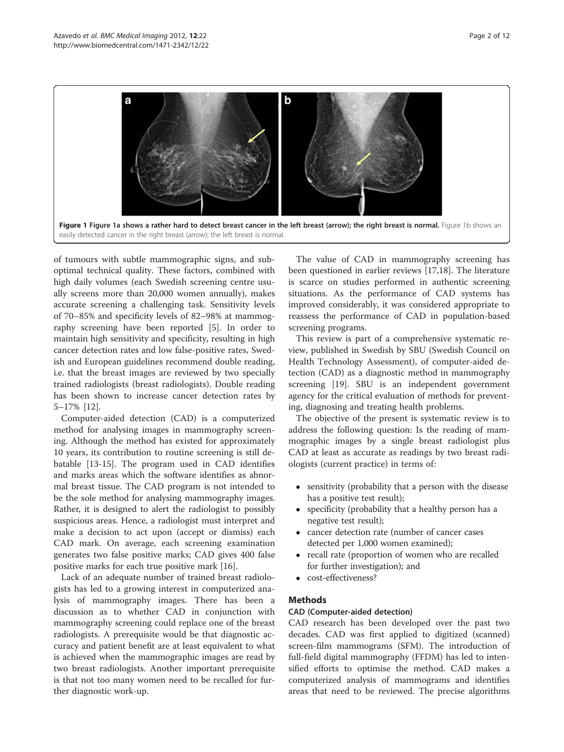<span id="page-1-0"></span>

of tumours with subtle mammographic signs, and suboptimal technical quality. These factors, combined with high daily volumes (each Swedish screening centre usually screens more than 20,000 women annually), makes accurate screening a challenging task. Sensitivity levels of 70–85% and specificity levels of 82–98% at mammography screening have been reported [[5\]](#page-9-0). In order to maintain high sensitivity and specificity, resulting in high cancer detection rates and low false-positive rates, Swedish and European guidelines recommend double reading, i.e. that the breast images are reviewed by two specially trained radiologists (breast radiologists). Double reading has been shown to increase cancer detection rates by 5–17% [\[12](#page-9-0)].

Computer-aided detection (CAD) is a computerized method for analysing images in mammography screening. Although the method has existed for approximately 10 years, its contribution to routine screening is still debatable [\[13](#page-9-0)-[15\]](#page-9-0). The program used in CAD identifies and marks areas which the software identifies as abnormal breast tissue. The CAD program is not intended to be the sole method for analysing mammography images. Rather, it is designed to alert the radiologist to possibly suspicious areas. Hence, a radiologist must interpret and make a decision to act upon (accept or dismiss) each CAD mark. On average, each screening examination generates two false positive marks; CAD gives 400 false positive marks for each true positive mark [[16\]](#page-9-0).

Lack of an adequate number of trained breast radiologists has led to a growing interest in computerized analysis of mammography images. There has been a discussion as to whether CAD in conjunction with mammography screening could replace one of the breast radiologists. A prerequisite would be that diagnostic accuracy and patient benefit are at least equivalent to what is achieved when the mammographic images are read by two breast radiologists. Another important prerequisite is that not too many women need to be recalled for further diagnostic work-up.

The value of CAD in mammography screening has been questioned in earlier reviews [[17](#page-9-0),[18](#page-9-0)]. The literature is scarce on studies performed in authentic screening situations. As the performance of CAD systems has improved considerably, it was considered appropriate to reassess the performance of CAD in population-based screening programs.

This review is part of a comprehensive systematic review, published in Swedish by SBU (Swedish Council on Health Technology Assessment), of computer-aided detection (CAD) as a diagnostic method in mammography screening [[19\]](#page-9-0). SBU is an independent government agency for the critical evaluation of methods for preventing, diagnosing and treating health problems.

The objective of the present is systematic review is to address the following question: Is the reading of mammographic images by a single breast radiologist plus CAD at least as accurate as readings by two breast radiologists (current practice) in terms of:

- sensitivity (probability that a person with the disease has a positive test result);
- specificity (probability that a healthy person has a negative test result);
- cancer detection rate (number of cancer cases detected per 1,000 women examined);
- recall rate (proportion of women who are recalled for further investigation); and
- cost-effectiveness?

## Methods

#### CAD (Computer-aided detection)

CAD research has been developed over the past two decades. CAD was first applied to digitized (scanned) screen-film mammograms (SFM). The introduction of full-field digital mammography (FFDM) has led to intensified efforts to optimise the method. CAD makes a computerized analysis of mammograms and identifies areas that need to be reviewed. The precise algorithms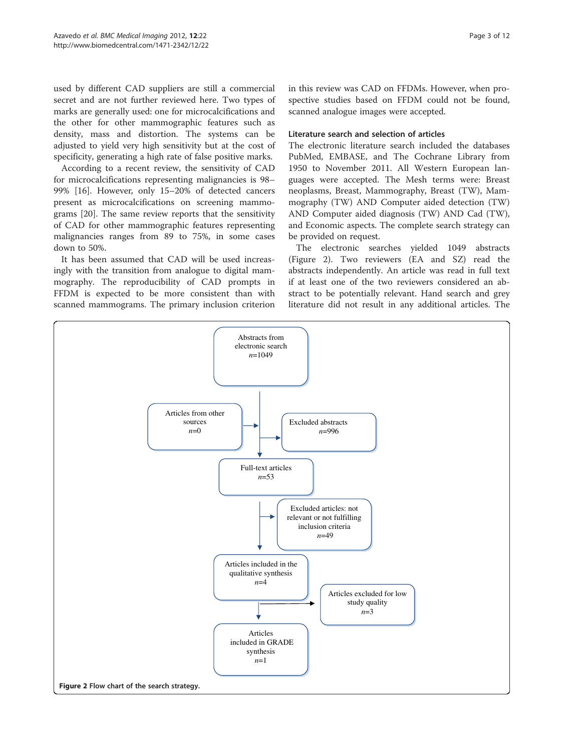<span id="page-2-0"></span>used by different CAD suppliers are still a commercial secret and are not further reviewed here. Two types of marks are generally used: one for microcalcifications and the other for other mammographic features such as density, mass and distortion. The systems can be adjusted to yield very high sensitivity but at the cost of specificity, generating a high rate of false positive marks.

According to a recent review, the sensitivity of CAD for microcalcifications representing malignancies is 98– 99% [[16\]](#page-9-0). However, only 15–20% of detected cancers present as microcalcifications on screening mammograms [\[20](#page-9-0)]. The same review reports that the sensitivity of CAD for other mammographic features representing malignancies ranges from 89 to 75%, in some cases down to 50%.

It has been assumed that CAD will be used increasingly with the transition from analogue to digital mammography. The reproducibility of CAD prompts in FFDM is expected to be more consistent than with scanned mammograms. The primary inclusion criterion

in this review was CAD on FFDMs. However, when prospective studies based on FFDM could not be found, scanned analogue images were accepted.

#### Literature search and selection of articles

The electronic literature search included the databases PubMed, EMBASE, and The Cochrane Library from 1950 to November 2011. All Western European languages were accepted. The Mesh terms were: Breast neoplasms, Breast, Mammography, Breast (TW), Mammography (TW) AND Computer aided detection (TW) AND Computer aided diagnosis (TW) AND Cad (TW), and Economic aspects. The complete search strategy can be provided on request.

The electronic searches yielded 1049 abstracts (Figure 2). Two reviewers (EA and SZ) read the abstracts independently. An article was read in full text if at least one of the two reviewers considered an abstract to be potentially relevant. Hand search and grey literature did not result in any additional articles. The

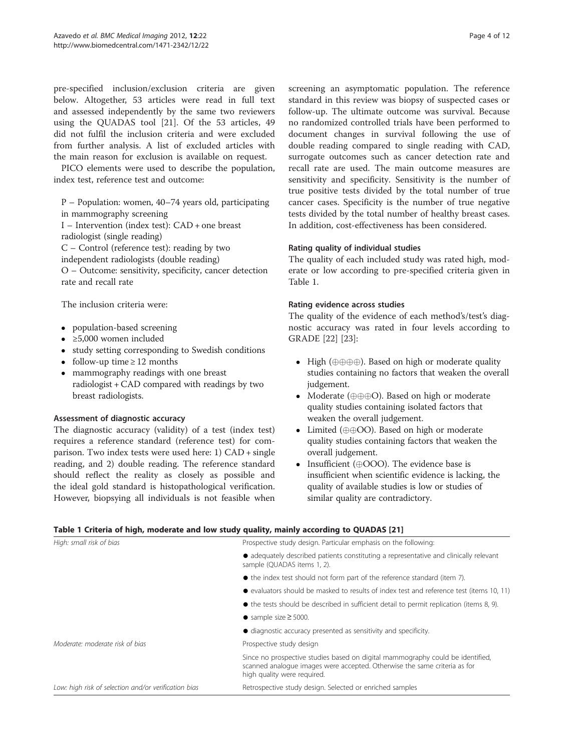pre-specified inclusion/exclusion criteria are given below. Altogether, 53 articles were read in full text and assessed independently by the same two reviewers using the QUADAS tool [\[21](#page-9-0)]. Of the 53 articles, 49 did not fulfil the inclusion criteria and were excluded from further analysis. A list of excluded articles with the main reason for exclusion is available on request.

PICO elements were used to describe the population, index test, reference test and outcome:

P – Population: women, 40–74 years old, participating in mammography screening

I – Intervention (index test): CAD + one breast

radiologist (single reading)

C – Control (reference test): reading by two

independent radiologists (double reading)

O – Outcome: sensitivity, specificity, cancer detection rate and recall rate

The inclusion criteria were:

- population-based screening
- ≥5,000 women included
- study setting corresponding to Swedish conditions
- follow-up time  $\geq 12$  months
- mammography readings with one breast radiologist + CAD compared with readings by two breast radiologists.

#### Assessment of diagnostic accuracy

The diagnostic accuracy (validity) of a test (index test) requires a reference standard (reference test) for comparison. Two index tests were used here: 1) CAD + single reading, and 2) double reading. The reference standard should reflect the reality as closely as possible and the ideal gold standard is histopathological verification. However, biopsying all individuals is not feasible when screening an asymptomatic population. The reference standard in this review was biopsy of suspected cases or follow-up. The ultimate outcome was survival. Because no randomized controlled trials have been performed to document changes in survival following the use of double reading compared to single reading with CAD, surrogate outcomes such as cancer detection rate and recall rate are used. The main outcome measures are sensitivity and specificity. Sensitivity is the number of true positive tests divided by the total number of true cancer cases. Specificity is the number of true negative tests divided by the total number of healthy breast cases. In addition, cost-effectiveness has been considered.

## Rating quality of individual studies

The quality of each included study was rated high, moderate or low according to pre-specified criteria given in Table 1.

#### Rating evidence across studies

The quality of the evidence of each method's/test's diagnostic accuracy was rated in four levels according to GRADE [\[22\]](#page-9-0) [\[23\]](#page-9-0):

- High ( $\oplus \oplus \oplus$ ). Based on high or moderate quality studies containing no factors that weaken the overall judgement.
- Moderate ( $\oplus \oplus \oplus O$ ). Based on high or moderate quality studies containing isolated factors that weaken the overall judgement.
- Limited ( $\oplus$  $\oplus$ OO). Based on high or moderate quality studies containing factors that weaken the overall judgement.
- Insufficient ( $\oplus$ OOO). The evidence base is insufficient when scientific evidence is lacking, the quality of available studies is low or studies of similar quality are contradictory.

| High: small risk of bias                             | Prospective study design. Particular emphasis on the following:                                                                                                                            |  |  |  |  |
|------------------------------------------------------|--------------------------------------------------------------------------------------------------------------------------------------------------------------------------------------------|--|--|--|--|
|                                                      | • adequately described patients constituting a representative and clinically relevant<br>sample (QUADAS items 1, 2).                                                                       |  |  |  |  |
|                                                      | • the index test should not form part of the reference standard (item 7).                                                                                                                  |  |  |  |  |
|                                                      | • evaluators should be masked to results of index test and reference test (items 10, 11)                                                                                                   |  |  |  |  |
|                                                      | $\bullet$ the tests should be described in sufficient detail to permit replication (items 8, 9).                                                                                           |  |  |  |  |
|                                                      | $\bullet$ sample size $\geq$ 5000.                                                                                                                                                         |  |  |  |  |
|                                                      | • diagnostic accuracy presented as sensitivity and specificity.                                                                                                                            |  |  |  |  |
| Moderate: moderate risk of bias                      | Prospective study design                                                                                                                                                                   |  |  |  |  |
|                                                      | Since no prospective studies based on digital mammography could be identified,<br>scanned analogue images were accepted. Otherwise the same criteria as for<br>high quality were required. |  |  |  |  |
| Low: high risk of selection and/or verification bias | Retrospective study design. Selected or enriched samples                                                                                                                                   |  |  |  |  |

## Table 1 Criteria of high, moderate and low study quality, mainly according to QUADAS [[21\]](#page-9-0)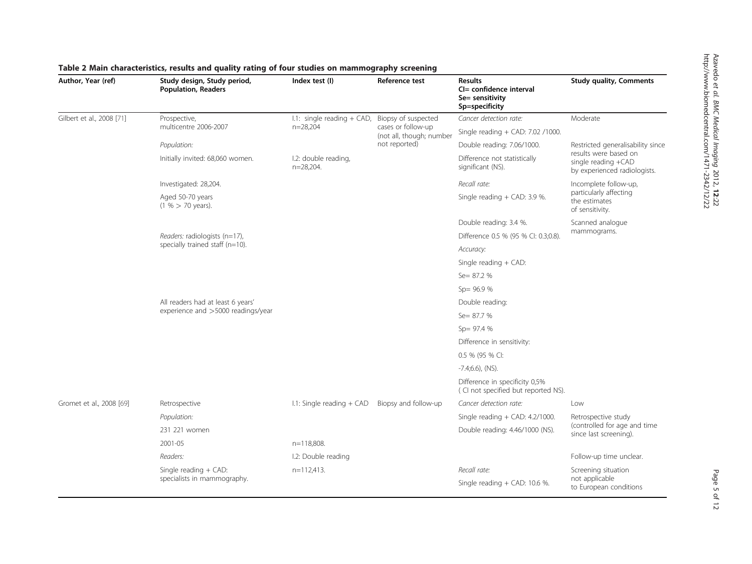| Author, Year (ref)        | Study design, Study period,<br><b>Population, Readers</b>               | Index test (I)                             | Reference test                                                                         | <b>Results</b><br>CI= confidence interval<br>Se= sensitivity<br>Sp=specificity | <b>Study quality, Comments</b>                                                                                    |  |
|---------------------------|-------------------------------------------------------------------------|--------------------------------------------|----------------------------------------------------------------------------------------|--------------------------------------------------------------------------------|-------------------------------------------------------------------------------------------------------------------|--|
| Gilbert et al., 2008 [71] | Prospective,                                                            | $1.1:$ single reading + CAD,<br>$n=28,204$ | Biopsy of suspected<br>cases or follow-up<br>(not all, though; number<br>not reported) | Cancer detection rate:                                                         | Moderate                                                                                                          |  |
|                           | multicentre 2006-2007                                                   |                                            |                                                                                        | Single reading + CAD: 7.02 /1000.                                              |                                                                                                                   |  |
|                           | Population:                                                             |                                            |                                                                                        | Double reading: 7.06/1000.                                                     | Restricted generalisability since<br>results were based on<br>single reading +CAD<br>by experienced radiologists. |  |
|                           | Initially invited: 68,060 women.                                        | I.2: double reading,<br>$n=28,204.$        |                                                                                        | Difference not statistically<br>significant (NS).                              |                                                                                                                   |  |
|                           | Investigated: 28,204.                                                   |                                            |                                                                                        | Recall rate:                                                                   | Incomplete follow-up,                                                                                             |  |
|                           | Aged 50-70 years<br>(1 % > 70 years).                                   |                                            |                                                                                        | Single reading + CAD: 3.9 %.                                                   | particularly affecting<br>the estimates<br>of sensitivity.                                                        |  |
|                           |                                                                         |                                            |                                                                                        | Double reading: 3.4 %.                                                         | Scanned analogue                                                                                                  |  |
|                           | Readers: radiologists (n=17),                                           |                                            |                                                                                        | Difference 0.5 % (95 % Cl: 0.3;0.8).                                           | mammograms.                                                                                                       |  |
|                           | specially trained staff (n=10).                                         |                                            |                                                                                        | Accuracy:                                                                      |                                                                                                                   |  |
|                           |                                                                         |                                            |                                                                                        | Single reading $+$ CAD:                                                        |                                                                                                                   |  |
|                           |                                                                         |                                            |                                                                                        | Se= 87.2 %                                                                     |                                                                                                                   |  |
|                           |                                                                         |                                            |                                                                                        | Sp= 96.9 %                                                                     |                                                                                                                   |  |
|                           | All readers had at least 6 years'<br>experience and >5000 readings/year |                                            |                                                                                        | Double reading:                                                                |                                                                                                                   |  |
|                           |                                                                         |                                            |                                                                                        | $Se= 87.7 %$                                                                   |                                                                                                                   |  |
|                           |                                                                         |                                            |                                                                                        | $Sp = 97.4%$                                                                   |                                                                                                                   |  |
|                           |                                                                         |                                            |                                                                                        | Difference in sensitivity:                                                     |                                                                                                                   |  |
|                           |                                                                         |                                            |                                                                                        | 0.5 % (95 % CI:                                                                |                                                                                                                   |  |
|                           |                                                                         |                                            |                                                                                        | $-7.4;6.6$ ), (NS).                                                            |                                                                                                                   |  |
|                           |                                                                         |                                            |                                                                                        | Difference in specificity 0,5%<br>(CI not specified but reported NS).          |                                                                                                                   |  |
| Gromet et al., 2008 [69]  | Retrospective                                                           | $1.1$ : Single reading + CAD               | Biopsy and follow-up                                                                   | Cancer detection rate:                                                         | Low                                                                                                               |  |
|                           | Population:<br>231 221 women                                            |                                            |                                                                                        | Single reading $+$ CAD: 4.2/1000.                                              | Retrospective study<br>(controlled for age and time<br>since last screening).                                     |  |
|                           |                                                                         |                                            |                                                                                        | Double reading: 4.46/1000 (NS).                                                |                                                                                                                   |  |
|                           | 2001-05                                                                 | n=118,808.                                 |                                                                                        |                                                                                |                                                                                                                   |  |
|                           | Readers:                                                                | I.2: Double reading                        |                                                                                        |                                                                                | Follow-up time unclear.                                                                                           |  |
|                           | Single reading + CAD:                                                   | $n=112,413.$                               |                                                                                        | Recall rate:                                                                   | Screening situation                                                                                               |  |
|                           | specialists in mammography.                                             |                                            |                                                                                        | Single reading + CAD: 10.6 %.                                                  | not applicable<br>to European conditions                                                                          |  |

## <span id="page-4-0"></span>Table 2 Main characteristics, results and quality rating of four studies on mammography screening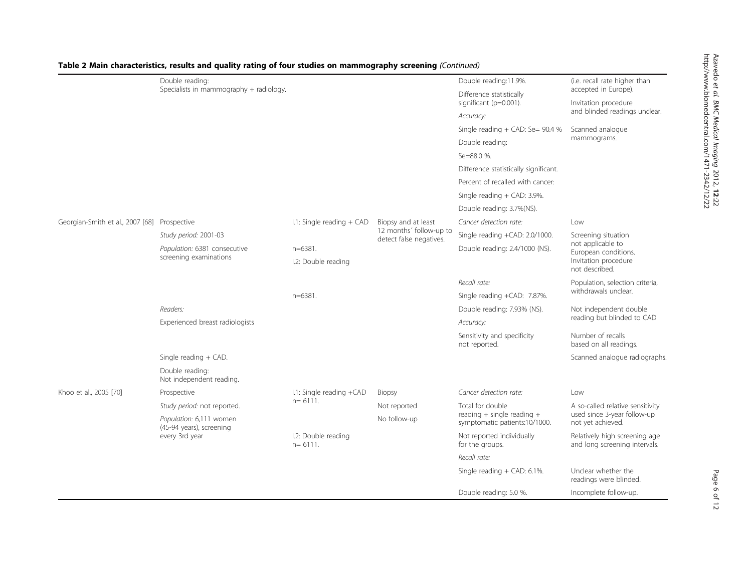|                                  | Double reading:                                                       |                                     |                                                                           | Double reading:11.9%.                                                               | (i.e. recall rate higher than                                                        |
|----------------------------------|-----------------------------------------------------------------------|-------------------------------------|---------------------------------------------------------------------------|-------------------------------------------------------------------------------------|--------------------------------------------------------------------------------------|
|                                  | Specialists in mammography + radiology.                               |                                     |                                                                           | Difference statistically<br>significant (p=0.001).                                  | accepted in Europe).<br>Invitation procedure                                         |
|                                  |                                                                       |                                     |                                                                           | Accuracy:                                                                           | and blinded readings unclear.                                                        |
|                                  |                                                                       |                                     |                                                                           | Single reading $+$ CAD: Se= 90.4 %                                                  | Scanned analogue                                                                     |
|                                  |                                                                       |                                     |                                                                           | Double reading:                                                                     | mammograms.                                                                          |
|                                  |                                                                       |                                     |                                                                           | Se=88.0 %.                                                                          |                                                                                      |
|                                  |                                                                       |                                     |                                                                           | Difference statistically significant.                                               |                                                                                      |
|                                  |                                                                       |                                     |                                                                           | Percent of recalled with cancer:                                                    |                                                                                      |
|                                  |                                                                       |                                     |                                                                           | Single reading + CAD: 3.9%.                                                         |                                                                                      |
|                                  |                                                                       |                                     |                                                                           | Double reading: 3.7%(NS).                                                           |                                                                                      |
| Georgian-Smith et al., 2007 [68] | Prospective                                                           | I.1: Single reading + CAD           | Biopsy and at least<br>12 months' follow-up to<br>detect false negatives. | Cancer detection rate:                                                              | Low                                                                                  |
|                                  | Study period: 2001-03                                                 |                                     |                                                                           | Single reading +CAD: 2.0/1000.                                                      | Screening situation                                                                  |
|                                  | Population: 6381 consecutive                                          | $n=6381.$                           |                                                                           | Double reading: 2.4/1000 (NS).                                                      | not applicable to<br>European conditions.<br>Invitation procedure<br>not described.  |
|                                  | screening examinations                                                | I.2: Double reading                 |                                                                           |                                                                                     |                                                                                      |
|                                  |                                                                       |                                     |                                                                           | Recall rate:                                                                        | Population, selection criteria,                                                      |
|                                  |                                                                       | $n=6381$ .                          |                                                                           | Single reading +CAD: 7.87%.                                                         | withdrawals unclear.                                                                 |
|                                  | Readers:                                                              |                                     |                                                                           | Double reading: 7.93% (NS).                                                         | Not independent double                                                               |
|                                  | Experienced breast radiologists                                       |                                     |                                                                           | Accuracy:                                                                           | reading but blinded to CAD                                                           |
|                                  |                                                                       |                                     |                                                                           | Sensitivity and specificity<br>not reported.                                        | Number of recalls<br>based on all readings.                                          |
|                                  | Single reading $+$ CAD.                                               |                                     |                                                                           |                                                                                     | Scanned analogue radiographs.                                                        |
|                                  | Double reading:<br>Not independent reading.                           |                                     |                                                                           |                                                                                     |                                                                                      |
| Khoo et al., 2005 [70]           | Prospective                                                           | I.1: Single reading +CAD            | <b>Biopsy</b>                                                             | Cancer detection rate:                                                              | Low                                                                                  |
|                                  | Study period: not reported.                                           | $n = 6111.$                         | Not reported                                                              | Total for double<br>reading $+$ single reading $+$<br>symptomatic patients:10/1000. | A so-called relative sensitivity<br>used since 3-year follow-up<br>not yet achieved. |
|                                  | Population: 6,111 women<br>(45-94 years), screening<br>every 3rd year |                                     | No follow-up                                                              |                                                                                     |                                                                                      |
|                                  |                                                                       | I.2: Double reading<br>$n = 6111$ . |                                                                           | Not reported individually<br>for the groups.                                        | Relatively high screening age<br>and long screening intervals.                       |
|                                  |                                                                       |                                     |                                                                           | Recall rate:                                                                        |                                                                                      |
|                                  |                                                                       |                                     |                                                                           | Single reading + CAD: 6.1%.                                                         | Unclear whether the<br>readings were blinded.                                        |
|                                  |                                                                       |                                     |                                                                           | Double reading: 5.0 %.                                                              | Incomplete follow-up.                                                                |

## Table 2 Main characteristics, results and quality rating of four studies on mammography screening (Continued)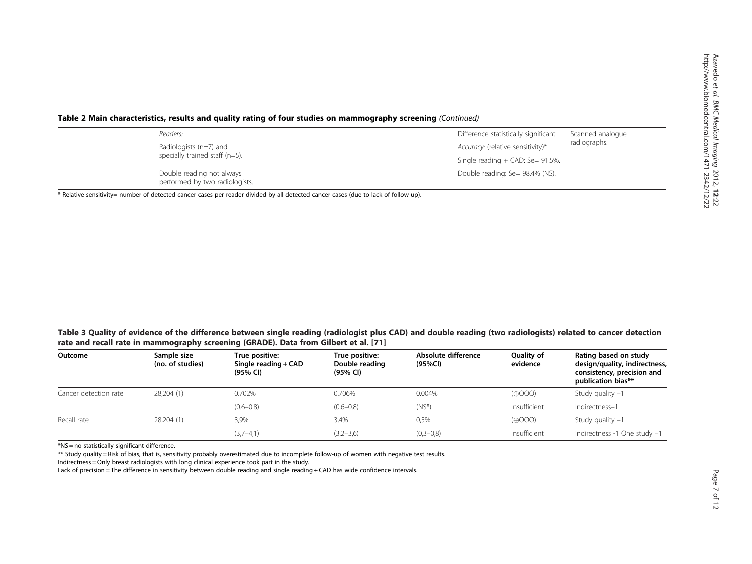#### <span id="page-6-0"></span>Table 2 Main characteristics, results and quality rating of four studies on mammography screening (Continued)

|  | Readers:                                                    | Difference statistically significant | Scanned analogue |  |
|--|-------------------------------------------------------------|--------------------------------------|------------------|--|
|  | Radiologists (n=7) and                                      | Accuracy: (relative sensitivity)*    | radiographs.     |  |
|  | specially trained staff $(n=5)$ .                           | Single reading + CAD: Se= 91.5%.     |                  |  |
|  | Double reading not always<br>performed by two radiologists. | Double reading: Se= 98.4% (NS).      |                  |  |

\* Relative sensitivity= number of detected cancer cases per reader divided by all detected cancer cases (due to lack of follow-up).

Table 3 Quality of evidence of the difference between single reading (radiologist plus CAD) and double reading (two radiologists) related to cancer detection rate and recall rate in mammography screening (GRADE). Data from Gilbert et al. [[71\]](#page-11-0)

| Outcome               | Sample size<br>(no. of studies) | True positive:<br>Single reading + CAD<br>(95% CI) | True positive:<br>Double reading<br>(95% CI) | Absolute difference<br>(95%CI) | Quality of<br>evidence | Rating based on study<br>design/quality, indirectness,<br>consistency, precision and<br>publication bias** |
|-----------------------|---------------------------------|----------------------------------------------------|----------------------------------------------|--------------------------------|------------------------|------------------------------------------------------------------------------------------------------------|
| Cancer detection rate | 28,204(1)                       | 0.702%                                             | 0.706%                                       | 0.004%                         | $(\oplus$ OOO)         | Study quality -1                                                                                           |
|                       |                                 | $(0.6 - 0.8)$                                      | $(0.6 - 0.8)$                                | $(NS*)$                        | Insufficient           | Indirectness-1                                                                                             |
| Recall rate           | 28,204 (1)                      | 3,9%                                               | 3,4%                                         | 0,5%                           | $(\oplus$ OOO)         | Study quality -1                                                                                           |
|                       |                                 | $(3,7-4,1)$                                        | $(3,2-3,6)$                                  | $(0,3-0,8)$                    | Insufficient           | Indirectness -1 One study -1                                                                               |

\*NS = no statistically significant difference.

\*\* Study quality = Risk of bias, that is, sensitivity probably overestimated due to incomplete follow-up of women with negative test results.

Indirectness = Only breast radiologists with long clinical experience took part in the study.

Lack of precision = The difference in sensitivity between double reading and single reading + CAD has wide confidence intervals.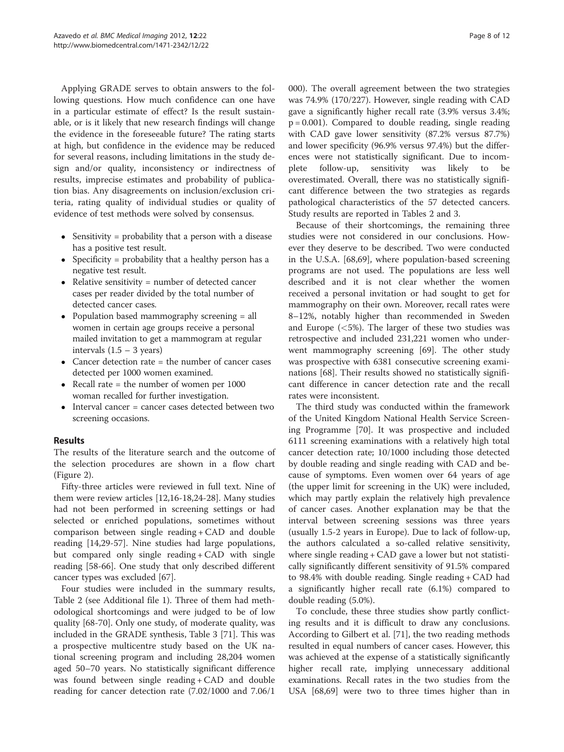Applying GRADE serves to obtain answers to the following questions. How much confidence can one have in a particular estimate of effect? Is the result sustainable, or is it likely that new research findings will change the evidence in the foreseeable future? The rating starts at high, but confidence in the evidence may be reduced for several reasons, including limitations in the study design and/or quality, inconsistency or indirectness of results, imprecise estimates and probability of publication bias. Any disagreements on inclusion/exclusion criteria, rating quality of individual studies or quality of evidence of test methods were solved by consensus.

- Sensitivity = probability that a person with a disease has a positive test result.
- Specificity = probability that a healthy person has a negative test result.
- Relative sensitivity = number of detected cancer cases per reader divided by the total number of detected cancer cases.
- Population based mammography screening = all women in certain age groups receive a personal mailed invitation to get a mammogram at regular intervals  $(1.5 - 3$  years)
- Cancer detection rate = the number of cancer cases detected per 1000 women examined.
- Recall rate = the number of women per 1000 woman recalled for further investigation.
- Interval cancer = cancer cases detected between two screening occasions.

#### Results

The results of the literature search and the outcome of the selection procedures are shown in a flow chart (Figure [2](#page-2-0)).

Fifty-three articles were reviewed in full text. Nine of them were review articles [\[12,16](#page-9-0)-[18,24](#page-9-0)[-28\]](#page-10-0). Many studies had not been performed in screening settings or had selected or enriched populations, sometimes without comparison between single reading + CAD and double reading [[14,](#page-9-0)[29-57\]](#page-10-0). Nine studies had large populations, but compared only single reading + CAD with single reading [[58-66](#page-10-0)]. One study that only described different cancer types was excluded [[67](#page-11-0)].

Four studies were included in the summary results, Table [2](#page-4-0) (see Additional file 1). Three of them had methodological shortcomings and were judged to be of low quality [\[68](#page-11-0)-[70\]](#page-11-0). Only one study, of moderate quality, was included in the GRADE synthesis, Table [3](#page-6-0) [[71\]](#page-11-0). This was a prospective multicentre study based on the UK national screening program and including 28,204 women aged 50–70 years. No statistically significant difference was found between single reading + CAD and double reading for cancer detection rate (7.02/1000 and 7.06/1

000). The overall agreement between the two strategies was 74.9% (170/227). However, single reading with CAD gave a significantly higher recall rate (3.9% versus 3.4%;  $p = 0.001$ ). Compared to double reading, single reading with CAD gave lower sensitivity (87.2% versus 87.7%) and lower specificity (96.9% versus 97.4%) but the differences were not statistically significant. Due to incomplete follow-up, sensitivity was likely to be overestimated. Overall, there was no statistically significant difference between the two strategies as regards pathological characteristics of the 57 detected cancers. Study results are reported in Tables [2](#page-4-0) and [3](#page-6-0).

Because of their shortcomings, the remaining three studies were not considered in our conclusions. However they deserve to be described. Two were conducted in the U.S.A. [[68,69\]](#page-11-0), where population-based screening programs are not used. The populations are less well described and it is not clear whether the women received a personal invitation or had sought to get for mammography on their own. Moreover, recall rates were 8–12%, notably higher than recommended in Sweden and Europe  $\left\langle \langle 5\% \rangle \right\rangle$ . The larger of these two studies was retrospective and included 231,221 women who underwent mammography screening [[69\]](#page-11-0). The other study was prospective with 6381 consecutive screening examinations [[68\]](#page-11-0). Their results showed no statistically significant difference in cancer detection rate and the recall rates were inconsistent.

The third study was conducted within the framework of the United Kingdom National Health Service Screening Programme [[70\]](#page-11-0). It was prospective and included 6111 screening examinations with a relatively high total cancer detection rate; 10/1000 including those detected by double reading and single reading with CAD and because of symptoms. Even women over 64 years of age (the upper limit for screening in the UK) were included, which may partly explain the relatively high prevalence of cancer cases. Another explanation may be that the interval between screening sessions was three years (usually 1.5-2 years in Europe). Due to lack of follow-up, the authors calculated a so-called relative sensitivity, where single reading + CAD gave a lower but not statistically significantly different sensitivity of 91.5% compared to 98.4% with double reading. Single reading + CAD had a significantly higher recall rate (6.1%) compared to double reading (5.0%).

To conclude, these three studies show partly conflicting results and it is difficult to draw any conclusions. According to Gilbert et al. [\[71](#page-11-0)], the two reading methods resulted in equal numbers of cancer cases. However, this was achieved at the expense of a statistically significantly higher recall rate, implying unnecessary additional examinations. Recall rates in the two studies from the USA [\[68,69](#page-11-0)] were two to three times higher than in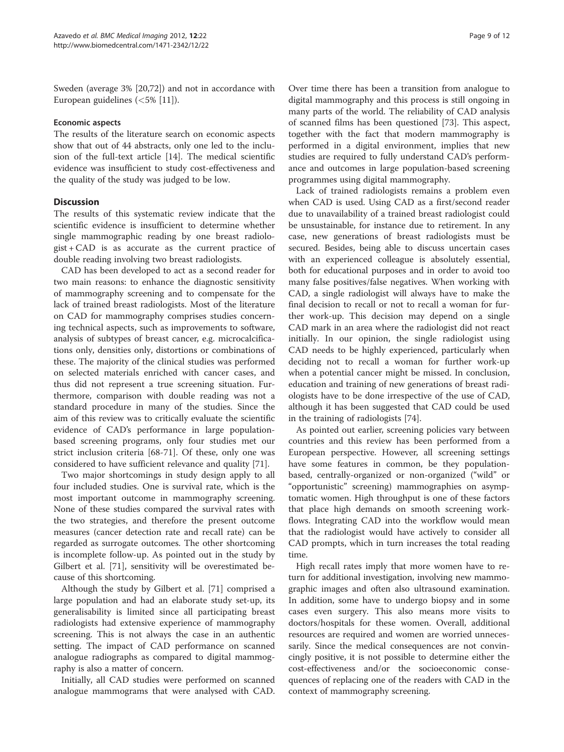Sweden (average 3% [\[20,](#page-9-0)[72\]](#page-11-0)) and not in accordance with European guidelines (<5% [\[11\]](#page-9-0)).

#### Economic aspects

The results of the literature search on economic aspects show that out of 44 abstracts, only one led to the inclusion of the full-text article [[14\]](#page-9-0). The medical scientific evidence was insufficient to study cost-effectiveness and the quality of the study was judged to be low.

## **Discussion**

The results of this systematic review indicate that the scientific evidence is insufficient to determine whether single mammographic reading by one breast radiologist + CAD is as accurate as the current practice of double reading involving two breast radiologists.

CAD has been developed to act as a second reader for two main reasons: to enhance the diagnostic sensitivity of mammography screening and to compensate for the lack of trained breast radiologists. Most of the literature on CAD for mammography comprises studies concerning technical aspects, such as improvements to software, analysis of subtypes of breast cancer, e.g. microcalcifications only, densities only, distortions or combinations of these. The majority of the clinical studies was performed on selected materials enriched with cancer cases, and thus did not represent a true screening situation. Furthermore, comparison with double reading was not a standard procedure in many of the studies. Since the aim of this review was to critically evaluate the scientific evidence of CAD's performance in large populationbased screening programs, only four studies met our strict inclusion criteria [\[68](#page-11-0)-[71\]](#page-11-0). Of these, only one was considered to have sufficient relevance and quality [[71](#page-11-0)].

Two major shortcomings in study design apply to all four included studies. One is survival rate, which is the most important outcome in mammography screening. None of these studies compared the survival rates with the two strategies, and therefore the present outcome measures (cancer detection rate and recall rate) can be regarded as surrogate outcomes. The other shortcoming is incomplete follow-up. As pointed out in the study by Gilbert et al. [[71\]](#page-11-0), sensitivity will be overestimated because of this shortcoming.

Although the study by Gilbert et al. [[71\]](#page-11-0) comprised a large population and had an elaborate study set-up, its generalisability is limited since all participating breast radiologists had extensive experience of mammography screening. This is not always the case in an authentic setting. The impact of CAD performance on scanned analogue radiographs as compared to digital mammography is also a matter of concern.

Initially, all CAD studies were performed on scanned analogue mammograms that were analysed with CAD.

Over time there has been a transition from analogue to digital mammography and this process is still ongoing in many parts of the world. The reliability of CAD analysis of scanned films has been questioned [[73\]](#page-11-0). This aspect, together with the fact that modern mammography is performed in a digital environment, implies that new studies are required to fully understand CAD's performance and outcomes in large population-based screening programmes using digital mammography.

Lack of trained radiologists remains a problem even when CAD is used. Using CAD as a first/second reader due to unavailability of a trained breast radiologist could be unsustainable, for instance due to retirement. In any case, new generations of breast radiologists must be secured. Besides, being able to discuss uncertain cases with an experienced colleague is absolutely essential, both for educational purposes and in order to avoid too many false positives/false negatives. When working with CAD, a single radiologist will always have to make the final decision to recall or not to recall a woman for further work-up. This decision may depend on a single CAD mark in an area where the radiologist did not react initially. In our opinion, the single radiologist using CAD needs to be highly experienced, particularly when deciding not to recall a woman for further work-up when a potential cancer might be missed. In conclusion, education and training of new generations of breast radiologists have to be done irrespective of the use of CAD, although it has been suggested that CAD could be used in the training of radiologists [\[74\]](#page-11-0).

As pointed out earlier, screening policies vary between countries and this review has been performed from a European perspective. However, all screening settings have some features in common, be they populationbased, centrally-organized or non-organized ("wild" or "opportunistic" screening) mammographies on asymptomatic women. High throughput is one of these factors that place high demands on smooth screening workflows. Integrating CAD into the workflow would mean that the radiologist would have actively to consider all CAD prompts, which in turn increases the total reading time.

High recall rates imply that more women have to return for additional investigation, involving new mammographic images and often also ultrasound examination. In addition, some have to undergo biopsy and in some cases even surgery. This also means more visits to doctors/hospitals for these women. Overall, additional resources are required and women are worried unnecessarily. Since the medical consequences are not convincingly positive, it is not possible to determine either the cost-effectiveness and/or the socioeconomic consequences of replacing one of the readers with CAD in the context of mammography screening.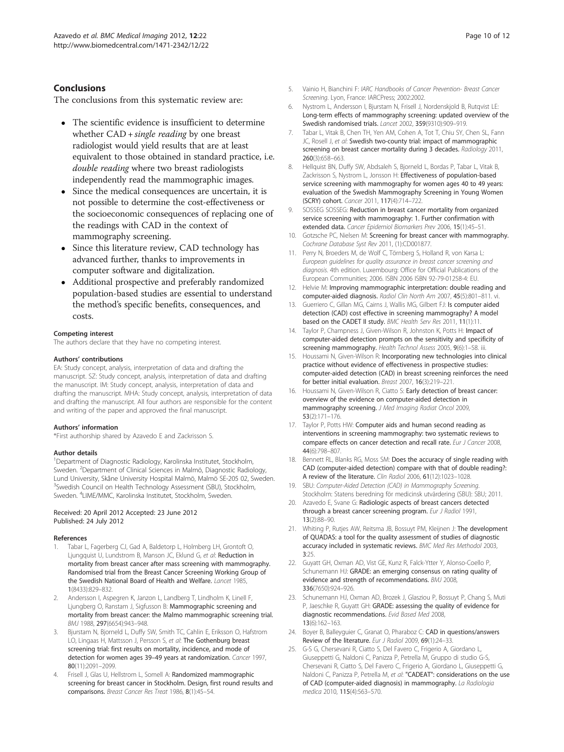#### <span id="page-9-0"></span>Conclusions

The conclusions from this systematic review are:

- The scientific evidence is insufficient to determine whether CAD + single reading by one breast radiologist would yield results that are at least equivalent to those obtained in standard practice, i.e. double reading where two breast radiologists independently read the mammographic images.
- Since the medical consequences are uncertain, it is not possible to determine the cost-effectiveness or the socioeconomic consequences of replacing one of the readings with CAD in the context of mammography screening.
- Since this literature review, CAD technology has advanced further, thanks to improvements in computer software and digitalization.
- Additional prospective and preferably randomized population-based studies are essential to understand the method's specific benefits, consequences, and costs.

#### Competing interest

The authors declare that they have no competing interest.

#### Authors' contributions

EA: Study concept, analysis, interpretation of data and drafting the manuscript. SZ: Study concept, analysis, interpretation of data and drafting the manuscript. IM: Study concept, analysis, interpretation of data and drafting the manuscript. MHA: Study concept, analysis, interpretation of data and drafting the manuscript. All four authors are responsible for the content and writing of the paper and approved the final manuscript.

#### Authors' information

\*First authorship shared by Azavedo E and Zackrisson S.

#### Author details

<sup>1</sup>Department of Diagnostic Radiology, Karolinska Institutet, Stockholm, Sweden. <sup>2</sup>Department of Clinical Sciences in Malmö, Diagnostic Radiology, Lund University, Skåne University Hospital Malmö, Malmö SE-205 02, Sweden. <sup>3</sup>Swedish Council on Health Technology Assessment (SBU), Stockholm, Sweden. <sup>4</sup>LIME/MMC, Karolinska Institutet, Stockholm, Sweden.

#### Received: 20 April 2012 Accepted: 23 June 2012 Published: 24 July 2012

#### References

- 1. Tabar L, Fagerberg CJ, Gad A, Baldetorp L, Holmberg LH, Grontoft O, Ljungquist U, Lundstrom B, Manson JC, Eklund G, et al: Reduction in mortality from breast cancer after mass screening with mammography. Randomised trial from the Breast Cancer Screening Working Group of the Swedish National Board of Health and Welfare. Lancet 1985, 1(8433):829–832.
- 2. Andersson I, Aspegren K, Janzon L, Landberg T, Lindholm K, Linell F, Ljungberg O, Ranstam J, Sigfusson B: Mammographic screening and mortality from breast cancer: the Malmo mammographic screening trial. BMJ 1988, 297(6654):943–948.
- 3. Bjurstam N, Bjorneld L, Duffy SW, Smith TC, Cahlin E, Eriksson O, Hafstrom LO, Lingaas H, Mattsson J, Persson S, et al: The Gothenburg breast screening trial: first results on mortality, incidence, and mode of detection for women ages 39–49 years at randomization. Cancer 1997, 80(11):2091–2099.
- 4. Frisell J, Glas U, Hellstrom L, Somell A: Randomized mammographic screening for breast cancer in Stockholm. Design, first round results and comparisons. Breast Cancer Res Treat 1986, 8(1):45–54.
- 5. Vainio H, Bianchini F: IARC Handbooks of Cancer Prevention- Breast Cancer Screening. Lyon, France: IARCPress; 2002:2002.
- 6. Nystrom L, Andersson I, Bjurstam N, Frisell J, Nordenskjold B, Rutqvist LE: Long-term effects of mammography screening: updated overview of the Swedish randomised trials. Lancet 2002, 359(9310):909–919.
- 7. Tabar L, Vitak B, Chen TH, Yen AM, Cohen A, Tot T, Chiu SY, Chen SL, Fann JC, Rosell J, et al: Swedish two-county trial: impact of mammographic screening on breast cancer mortality during 3 decades. Radiology 2011, 260(3):658–663.
- 8. Hellquist BN, Duffy SW, Abdsaleh S, Bjorneld L, Bordas P, Tabar L, Vitak B, Zackrisson S, Nystrom L, Jonsson H: Effectiveness of population-based service screening with mammography for women ages 40 to 49 years: evaluation of the Swedish Mammography Screening in Young Women (SCRY) cohort. Cancer 2011, 117(4):714–722.
- 9. SOSSEG SOSSEG: Reduction in breast cancer mortality from organized service screening with mammography: 1. Further confirmation with extended data. Cancer Epidemiol Biomarkers Prev 2006, 15(1):45–51.
- 10. Gotzsche PC, Nielsen M: Screening for breast cancer with mammography. Cochrane Database Syst Rev 2011, (1):CD001877.
- 11. Perry N, Broeders M, de Wolf C, Törnberg S, Holland R, von Karsa L: European guidelines for quality assurance in breast cancer screening and diagnosis. 4th edition. Luxembourg: Office for Official Publications of the European Communities; 2006. ISBN 2006 ISBN 92-79-01258-4: EU.
- 12. Helvie M: Improving mammographic interpretation: double reading and computer-aided diagnosis. Radiol Clin North Am 2007, 45(5):801–811. vi.
- 13. Guerriero C, Gillan MG, Cairns J, Wallis MG, Gilbert FJ: Is computer aided detection (CAD) cost effective in screening mammography? A model based on the CADET II study. BMC Health Serv Res 2011, 11(1):11.
- 14. Taylor P, Champness J, Given-Wilson R, Johnston K, Potts H: Impact of computer-aided detection prompts on the sensitivity and specificity of screening mammography. Health Technol Assess 2005, 9(6):1-58. iii.
- 15. Houssami N, Given-Wilson R: Incorporating new technologies into clinical practice without evidence of effectiveness in prospective studies: computer-aided detection (CAD) in breast screening reinforces the need for better initial evaluation. Breast 2007, 16(3):219–221.
- 16. Houssami N, Given-Wilson R, Ciatto S: Early detection of breast cancer: overview of the evidence on computer-aided detection in mammography screening. J Med Imaging Radiat Oncol 2009, 53(2):171–176.
- 17. Taylor P, Potts HW: Computer aids and human second reading as interventions in screening mammography: two systematic reviews to compare effects on cancer detection and recall rate. Eur J Cancer 2008, 44(6):798–807.
- 18. Bennett RL, Blanks RG, Moss SM: Does the accuracy of single reading with CAD (computer-aided detection) compare with that of double reading?: A review of the literature. Clin Radiol 2006, 61(12):1023–1028.
- 19. SBU: Computer-Aided Detection (CAD) in Mammography Screening. Stockholm: Statens beredning för medicinsk utvärdering (SBU): SBU; 2011.
- 20. Azavedo E, Svane G: Radiologic aspects of breast cancers detected through a breast cancer screening program. Eur J Radiol 1991, 13(2):88–90.
- 21. Whiting P, Rutjes AW, Reitsma JB, Bossuyt PM, Kleijnen J: The development of QUADAS: a tool for the quality assessment of studies of diagnostic accuracy included in systematic reviews. BMC Med Res Methodol 2003, 3:25.
- 22. Guyatt GH, Oxman AD, Vist GE, Kunz R, Falck-Ytter Y, Alonso-Coello P, Schunemann HJ: GRADE: an emerging consensus on rating quality of evidence and strength of recommendations. BMJ 2008, 336(7650):924–926.
- 23. Schunemann HJ, Oxman AD, Brozek J, Glasziou P, Bossuyt P, Chang S, Muti P, Jaeschke R, Guyatt GH: GRADE: assessing the quality of evidence for diagnostic recommendations. Evid Based Med 2008, 13(6):162–163.
- 24. Boyer B, Balleyquier C, Granat O, Pharaboz C: CAD in questions/answers Review of the literature. Eur J Radiol 2009, 69(1):24–33.
- 25. G-S G, Chersevani R, Ciatto S, Del Favero C, Frigerio A, Giordano L, Giuseppetti G, Naldoni C, Panizza P, Petrella M, Gruppo di studio G-S, Chersevani R, Ciatto S, Del Favero C, Frigerio A, Giordano L, Giuseppetti G, Naldoni C, Panizza P, Petrella M, et al: "CADEAT": considerations on the use of CAD (computer-aided diagnosis) in mammography. La Radiologia medica 2010, 115(4):563–570.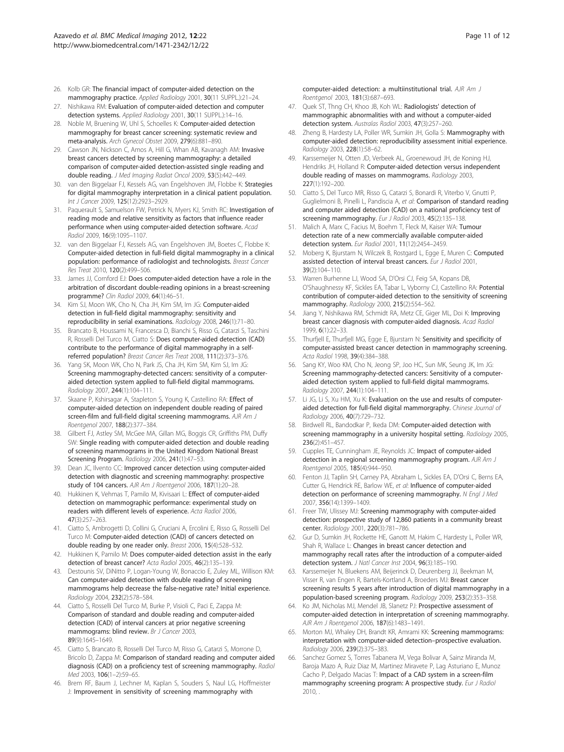- <span id="page-10-0"></span>26. Kolb GR: The financial impact of computer-aided detection on the mammography practice. Applied Radiology 2001, 30(11 SUPPL.):21-24.
- 27. Nishikawa RM: Evaluation of computer-aided detection and computer detection systems. Applied Radiology 2001, 30(11 SUPPL.):14-16.
- 28. Noble M, Bruening W, Uhl S, Schoelles K: Computer-aided detection mammography for breast cancer screening: systematic review and meta-analysis. Arch Gynecol Obstet 2009, 279(6):881–890.
- 29. Cawson JN, Nickson C, Amos A, Hill G, Whan AB, Kavanagh AM: Invasive breast cancers detected by screening mammography: a detailed comparison of computer-aided detection-assisted single reading and double reading. J Med Imaging Radiat Oncol 2009, 53(5):442–449.
- 30. van den Biggelaar FJ, Kessels AG, van Engelshoven JM, Flobbe K: Strategies for digital mammography interpretation in a clinical patient population. Int J Cancer 2009, 125(12):2923–2929.
- 31. Paquerault S, Samuelson FW, Petrick N, Myers KJ, Smith RC: Investigation of reading mode and relative sensitivity as factors that influence reader performance when using computer-aided detection software. Acad Radiol 2009, 16(9):1095–1107.
- 32. van den Biggelaar FJ, Kessels AG, van Engelshoven JM, Boetes C, Flobbe K: Computer-aided detection in full-field digital mammography in a clinical population: performance of radiologist and technologists. Breast Cancer Res Treat 2010, 120(2):499–506.
- 33. James JJ, Cornford EJ: Does computer-aided detection have a role in the arbitration of discordant double-reading opinions in a breast-screening programme? Clin Radiol 2009, 64(1):46–51.
- 34. Kim SJ, Moon WK, Cho N, Cha JH, Kim SM, Im JG: Computer-aided detection in full-field digital mammography: sensitivity and reproducibility in serial examinations. Radiology 2008, 246(1):71–80.
- 35. Brancato B, Houssami N, Francesca D, Bianchi S, Risso G, Catarzi S, Taschini R, Rosselli Del Turco M, Ciatto S: Does computer-aided detection (CAD) contribute to the performance of digital mammography in a selfreferred population? Breast Cancer Res Treat 2008, 111(2):373–376.
- 36. Yang SK, Moon WK, Cho N, Park JS, Cha JH, Kim SM, Kim SJ, Im JG: Screening mammography-detected cancers: sensitivity of a computeraided detection system applied to full-field digital mammograms. Radiology 2007, 244(1):104–111.
- 37. Skaane P, Kshirsagar A, Stapleton S, Young K, Castellino RA: Effect of computer-aided detection on independent double reading of paired screen-film and full-field digital screening mammograms. AJR Am J Roentgenol 2007, 188(2):377–384.
- 38. Gilbert FJ, Astley SM, McGee MA, Gillan MG, Boggis CR, Griffiths PM, Duffy SW: Single reading with computer-aided detection and double reading of screening mammograms in the United Kingdom National Breast Screening Program. Radiology 2006, 241(1):47–53.
- 39. Dean JC, Ilvento CC: Improved cancer detection using computer-aided detection with diagnostic and screening mammography: prospective study of 104 cancers. AJR Am J Roentgenol 2006, 187(1):20-28.
- 40. Hukkinen K, Vehmas T, Pamilo M, Kivisaari L: Effect of computer-aided detection on mammographic performance: experimental study on readers with different levels of experience. Acta Radiol 2006, 47(3):257–263.
- 41. Ciatto S, Ambrogetti D, Collini G, Cruciani A, Ercolini E, Risso G, Rosselli Del Turco M: Computer-aided detection (CAD) of cancers detected on double reading by one reader only. Breast 2006, 15(4):528–532.
- 42. Hukkinen K, Pamilo M: Does computer-aided detection assist in the early detection of breast cancer? Acta Radiol 2005, 46(2):135–139.
- 43. Destounis SV, DiNitto P, Logan-Young W, Bonaccio E, Zuley ML, Willison KM: Can computer-aided detection with double reading of screening mammograms help decrease the false-negative rate? Initial experience. Radiology 2004, 232(2):578–584.
- 44. Ciatto S, Rosselli Del Turco M, Burke P, Visioli C, Paci E, Zappa M: Comparison of standard and double reading and computer-aided detection (CAD) of interval cancers at prior negative screening mammograms: blind review. Br J Cancer 2003, 89(9):1645–1649.
- 45. Ciatto S, Brancato B, Rosselli Del Turco M, Risso G, Catarzi S, Morrone D, Bricolo D, Zappa M: Comparison of standard reading and computer aided diagnosis (CAD) on a proficiency test of screening mammography. Radiol Med 2003, 106(1–2):59–65.
- 46. Brem RF, Baum J, Lechner M, Kaplan S, Souders S, Naul LG, Hoffmeister J: Improvement in sensitivity of screening mammography with

computer-aided detection: a multiinstitutional trial. AJR Am J Roentgenol 2003, 181(3):687–693.

- 47. Quek ST, Thng CH, Khoo JB, Koh WL: Radiologists' detection of mammographic abnormalities with and without a computer-aided detection system. Australas Radiol 2003, 47(3):257–260.
- 48. Zheng B, Hardesty LA, Poller WR, Sumkin JH, Golla S: Mammography with computer-aided detection: reproducibility assessment initial experience. Radiology 2003, 228(1):58–62.
- 49. Karssemeijer N, Otten JD, Verbeek AL, Groenewoud JH, de Koning HJ, Hendriks JH, Holland R: Computer-aided detection versus independent double reading of masses on mammograms. Radiology 2003, 227(1):192–200.
- 50. Ciatto S, Del Turco MR, Risso G, Catarzi S, Bonardi R, Viterbo V, Gnutti P, Guglielmoni B, Pinelli L, Pandiscia A, et al: Comparison of standard reading and computer aided detection (CAD) on a national proficiency test of screening mammography. Eur J Radiol 2003, 45(2):135-138.
- 51. Malich A, Marx C, Facius M, Boehm T, Fleck M, Kaiser WA: Tumour detection rate of a new commercially available computer-aided detection system. Eur Radiol 2001, 11(12):2454–2459.
- 52. Moberg K, Bjurstam N, Wilczek B, Rostgard L, Egge E, Muren C: Computed assisted detection of interval breast cancers. Eur J Radiol 2001, 39(2):104–110.
- 53. Warren Burhenne LJ, Wood SA, D'Orsi CJ, Feig SA, Kopans DB, O'Shaughnessy KF, Sickles EA, Tabar L, Vyborny CJ, Castellino RA: Potential contribution of computer-aided detection to the sensitivity of screening mammography. Radiology 2000, 215(2):554–562.
- 54. Jiang Y, Nishikawa RM, Schmidt RA, Metz CE, Giger ML, Doi K: Improving breast cancer diagnosis with computer-aided diagnosis. Acad Radiol 1999, 6(1):22–33.
- 55. Thurfjell E, Thurfjell MG, Egge E, Bjurstam N: Sensitivity and specificity of computer-assisted breast cancer detection in mammography screening. Acta Radiol 1998, 39(4):384–388.
- 56. Sang KY, Woo KM, Cho N, Jeong SP, Joo HC, Sun MK, Seung JK, Im JG: Screening mammography-detected cancers: Sensitivity of a computeraided detection system applied to full-field digital mammograms. Radiology 2007, 244(1):104-111.
- 57. Li JG, Li S, Xu HM, Xu K: Evaluation on the use and results of computeraided detection for full-field digital mammorgraphy. Chinese Journal of Radiology 2006, 40(7):729–732.
- 58. Birdwell RL, Bandodkar P, Ikeda DM: Computer-aided detection with screening mammography in a university hospital setting. Radiology 2005, 236(2):451–457.
- 59. Cupples TE, Cunningham JE, Reynolds JC: Impact of computer-aided detection in a regional screening mammography program. AJR Am J Roentgenol 2005, 185(4):944–950.
- 60. Fenton JJ, Taplin SH, Carney PA, Abraham L, Sickles EA, D'Orsi C, Berns EA, Cutter G, Hendrick RE, Barlow WE, et al: Influence of computer-aided detection on performance of screening mammography. N Engl J Med 2007, 356(14):1399–1409.
- 61. Freer TW, Ulissey MJ: Screening mammography with computer-aided detection: prospective study of 12,860 patients in a community breast center. Radiology 2001, 220(3):781–786.
- 62. Gur D, Sumkin JH, Rockette HE, Ganott M, Hakim C, Hardesty L, Poller WR, Shah R, Wallace L: Changes in breast cancer detection and mammography recall rates after the introduction of a computer-aided detection system. J Natl Cancer Inst 2004, 96(3):185-190.
- 63. Karssemeijer N, Bluekens AM, Beijerinck D, Deurenberg JJ, Beekman M, Visser R, van Engen R, Bartels-Kortland A, Broeders MJ: Breast cancer screening results 5 years after introduction of digital mammography in a population-based screening program. Radiology 2009, 253(2):353–358.
- 64. Ko JM, Nicholas MJ, Mendel JB, Slanetz PJ: Prospective assessment of computer-aided detection in interpretation of screening mammography. AJR Am J Roentgenol 2006, 187(6):1483-1491.
- 65. Morton MJ, Whaley DH, Brandt KR, Amrami KK: Screening mammograms: interpretation with computer-aided detection–prospective evaluation. Radiology 2006, 239(2):375–383.
- 66. Sanchez Gomez S, Torres Tabanera M, Vega Bolivar A, Sainz Miranda M, Baroja Mazo A, Ruiz Diaz M, Martinez Miravete P, Lag Asturiano E, Munoz Cacho P, Delgado Macias T: Impact of a CAD system in a screen-film mammography screening program: A prospective study. Eur J Radiol 2010, .